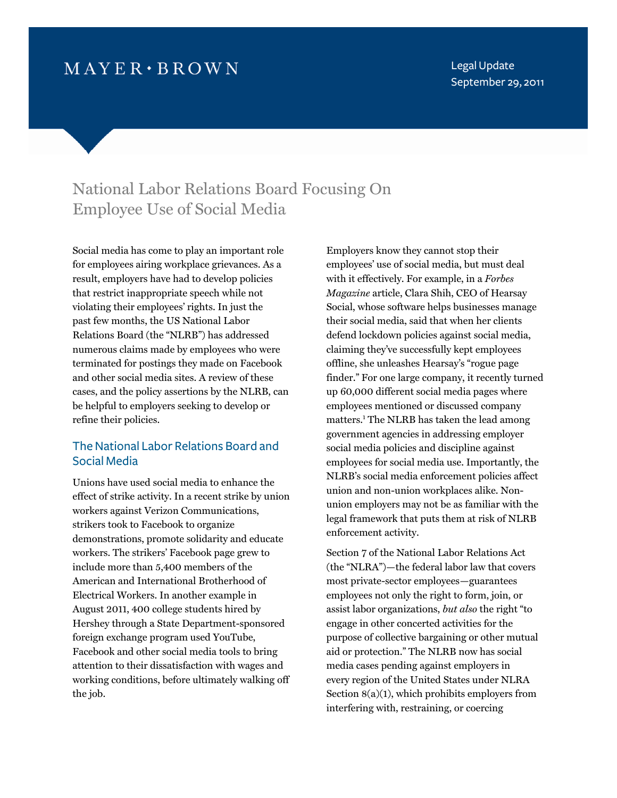# $MAYER \cdot BROWN$

Legal Update September 29, 2011

## National Labor Relations Board Focusing On Employee Use of Social Media

Social media has come to play an important role for employees airing workplace grievances. As a result, employers have had to develop policies that restrict inappropriate speech while not violating their employees' rights. In just the past few months, the US National Labor Relations Board (the "NLRB") has addressed numerous claims made by employees who were terminated for postings they made on Facebook and other social media sites. A review of these cases, and the policy assertions by the NLRB, can be helpful to employers seeking to develop or refine their policies.

### The National Labor Relations Board and Social Media

Unions have used social media to enhance the effect of strike activity. In a recent strike by union workers against Verizon Communications, strikers took to Facebook to organize demonstrations, promote solidarity and educate workers. The strikers' Facebook page grew to include more than 5,400 members of the American and International Brotherhood of Electrical Workers. In another example in August 2011, 400 college students hired by Hershey through a State Department-sponsored foreign exchange program used YouTube, Facebook and other social media tools to bring attention to their dissatisfaction with wages and working conditions, before ultimately walking off the job.

Employers know they cannot stop their employees' use of social media, but must deal with it effectively. For example, in a *Forbes Magazine* article, Clara Shih, CEO of Hearsay Social, whose software helps businesses manage their social media, said that when her clients defend lockdown policies against social media, claiming they've successfully kept employees offline, she unleashes Hearsay's "rogue page finder." For one large company, it recently turned up 60,000 different social media pages where employees mentioned or discussed company matters.1  [Th](#page-4-0)e NLRB has taken the lead among government agencies in addressing employer social media policies and discipline against employees for social media use. Importantly, the NLRB's social media enforcement policies affect union and non-union workplaces alike. Nonunion employers may not be as familiar with the legal framework that puts them at risk of NLRB enforcement activity.

Section 7 of the National Labor Relations Act (the "NLRA")—the federal labor law that covers most private-sector employees—guarantees employees not only the right to form, join, or assist labor organizations, *but also* the right "to engage in other concerted activities for the purpose of collective bargaining or other mutual aid or protection." The NLRB now has social media cases pending against employers in every region of the United States under NLRA Section  $8(a)(1)$ , which prohibits employers from interfering with, restraining, or coercing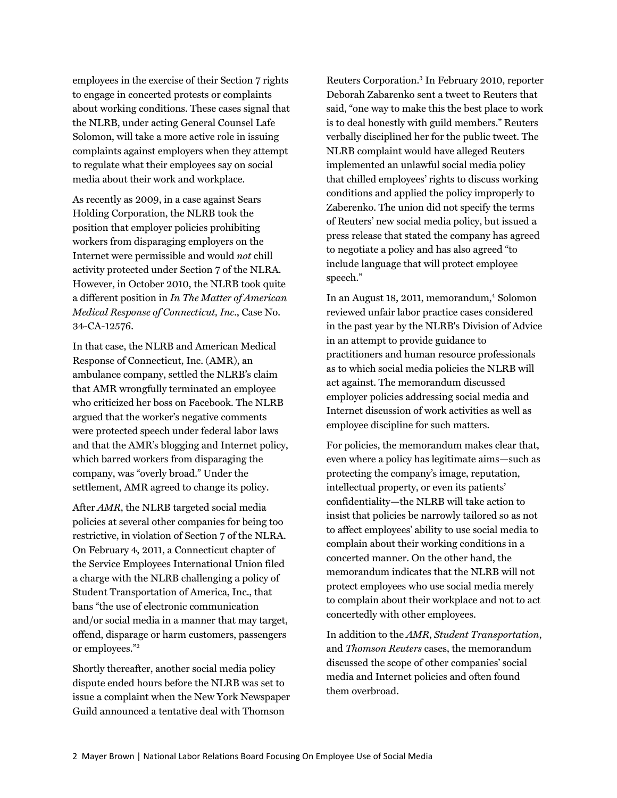employees in the exercise of their Section 7 rights to engage in concerted protests or complaints about working conditions. These cases signal that the NLRB, under acting General Counsel Lafe Solomon, will take a more active role in issuing complaints against employers when they attempt to regulate what their employees say on social media about their work and workplace.

As recently as 2009, in a case against Sears Holding Corporation, the NLRB took the position that employer policies prohibiting workers from disparaging employers on the Internet were permissible and would *not* chill activity protected under Section 7 of the NLRA. However, in October 2010, the NLRB took quite a different position in *In The Matter of American Medical Response of Connecticut, Inc*., Case No. 34-CA-12576.

In that case, the NLRB and American Medical Response of Connecticut, Inc. (AMR), an ambulance company, settled the NLRB's claim that AMR wrongfully terminated an employee who criticized her boss on Facebook. The NLRB argued that the worker's negative comments were protected speech under federal labor laws and that the AMR's blogging and Internet policy, which barred workers from disparaging the company, was "overly broad." Under the settlement, AMR agreed to change its policy.

After *AMR*, the NLRB targeted social media policies at several other companies for being too restrictive, in violation of Section 7 of the NLRA. On February 4, 2011, a Connecticut chapter of the Service Employees International Union filed a charge with the NLRB challenging a policy of Student Transportation of America, Inc., that bans "the use of electronic communication and/or social media in a manner that may target, offend, di[sparage or](#page-4-0) harm customers, passengers or employees."<sup>2</sup>

Shortly thereafter, another social media policy dispute ended hours before the NLRB was set to issue a complaint when the New York Newspaper Guild announced a tentative deal with Thomson

Reuters Corporation.3  [In F](#page-4-0)ebruary 2010, reporter Deborah Zabarenko sent a tweet to Reuters that said, "one way to make this the best place to work is to deal honestly with guild members." Reuters verbally disciplined her for the public tweet. The NLRB complaint would have alleged Reuters implemented an unlawful social media policy that chilled employees' rights to discuss working conditions and applied the policy improperly to Zaberenko. The union did not specify the terms of Reuters' new social media policy, but issued a press release that stated the company has agreed to negotiate a policy and has also agreed "to include language that will protect employee speech."

In an August 18, 2011, memorandum,<sup>4</sup> Solomon reviewed unfair labor practice cases considered in the past year by the NLRB's Division of Advice in an attempt to provide guidance to practitioners and human resource professionals as to which social media policies the NLRB will act against. The memorandum discussed employer policies addressing social media and Internet discussion of work activities as well as employee discipline for such matters.

For policies, the memorandum makes clear that, even where a policy has legitimate aims—such as protecting the company's image, reputation, intellectual property, or even its patients' confidentiality—the NLRB will take action to insist that policies be narrowly tailored so as not to affect employees' ability to use social media to complain about their working conditions in a concerted manner. On the other hand, the memorandum indicates that the NLRB will not protect employees who use social media merely to complain about their workplace and not to act concertedly with other employees.

In addition to the *AMR*, *Student Transportation*, and *Thomson Reuters* cases, the memorandum discussed the scope of other companies' social media and Internet policies and often found them overbroad.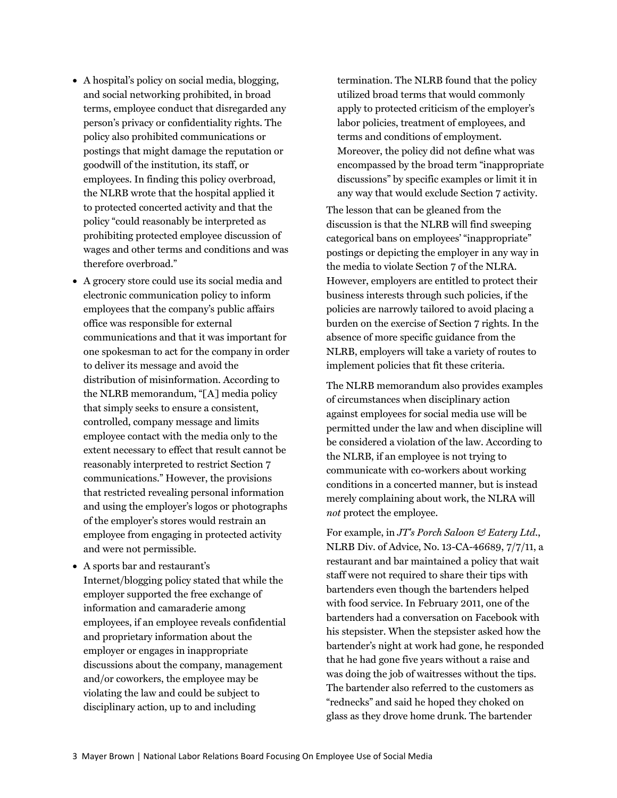- A hospital's policy on social media, blogging, and social networking prohibited, in broad terms, employee conduct that disregarded any person's privacy or confidentiality rights. The policy also prohibited communications or postings that might damage the reputation or goodwill of the institution, its staff, or employees. In finding this policy overbroad, the NLRB wrote that the hospital applied it to protected concerted activity and that the policy "could reasonably be interpreted as prohibiting protected employee discussion of wages and other terms and conditions and was therefore overbroad."
- A grocery store could use its social media and electronic communication policy to inform employees that the company's public affairs office was responsible for external communications and that it was important for one spokesman to act for the company in order to deliver its message and avoid the distribution of misinformation. According to the NLRB memorandum, "[A] media policy that simply seeks to ensure a consistent, controlled, company message and limits employee contact with the media only to the extent necessary to effect that result cannot be reasonably interpreted to restrict Section 7 communications." However, the provisions that restricted revealing personal information and using the employer's logos or photographs of the employer's stores would restrain an employee from engaging in protected activity and were not permissible.
- A sports bar and restaurant's Internet/blogging policy stated that while the employer supported the free exchange of information and camaraderie among employees, if an employee reveals confidential and proprietary information about the employer or engages in inappropriate discussions about the company, management and/or coworkers, the employee may be violating the law and could be subject to disciplinary action, up to and including

termination. The NLRB found that the policy utilized broad terms that would commonly apply to protected criticism of the employer's labor policies, treatment of employees, and terms and conditions of employment. Moreover, the policy did not define what was encompassed by the broad term "inappropriate discussions" by specific examples or limit it in any way that would exclude Section 7 activity.

The lesson that can be gleaned from the discussion is that the NLRB will find sweeping categorical bans on employees' "inappropriate" postings or depicting the employer in any way in the media to violate Section 7 of the NLRA. However, employers are entitled to protect their business interests through such policies, if the policies are narrowly tailored to avoid placing a burden on the exercise of Section 7 rights. In the absence of more specific guidance from the NLRB, employers will take a variety of routes to implement policies that fit these criteria.

The NLRB memorandum also provides examples of circumstances when disciplinary action against employees for social media use will be permitted under the law and when discipline will be considered a violation of the law. According to the NLRB, if an employee is not trying to communicate with co-workers about working conditions in a concerted manner, but is instead merely complaining about work, the NLRA will *not* protect the employee.

For example, in *JT's Porch Saloon & Eatery Ltd*., NLRB Div. of Advice, No. 13-CA-46689, 7/7/11, a restaurant and bar maintained a policy that wait staff were not required to share their tips with bartenders even though the bartenders helped with food service. In February 2011, one of the bartenders had a conversation on Facebook with his stepsister. When the stepsister asked how the bartender's night at work had gone, he responded that he had gone five years without a raise and was doing the job of waitresses without the tips. The bartender also referred to the customers as "rednecks" and said he hoped they choked on glass as they drove home drunk. The bartender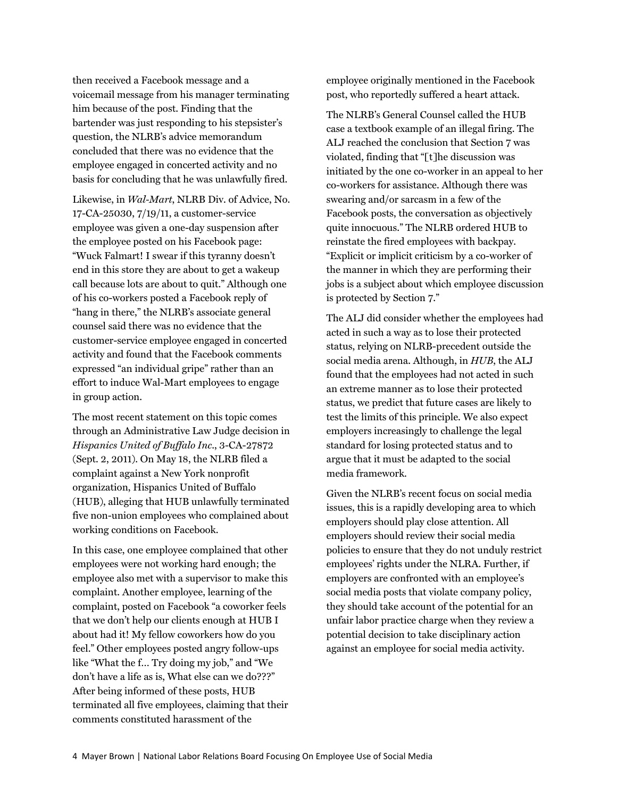then received a Facebook message and a voicemail message from his manager terminating him because of the post. Finding that the bartender was just responding to his stepsister's question, the NLRB's advice memorandum concluded that there was no evidence that the employee engaged in concerted activity and no basis for concluding that he was unlawfully fired.

Likewise, in *Wal-Mart*, NLRB Div. of Advice, No. 17-CA-25030, 7/19/11, a customer-service employee was given a one-day suspension after the employee posted on his Facebook page: "Wuck Falmart! I swear if this tyranny doesn't end in this store they are about to get a wakeup call because lots are about to quit." Although one of his co-workers posted a Facebook reply of "hang in there," the NLRB's associate general counsel said there was no evidence that the customer-service employee engaged in concerted activity and found that the Facebook comments expressed "an individual gripe" rather than an effort to induce Wal-Mart employees to engage in group action.

The most recent statement on this topic comes through an Administrative Law Judge decision in *Hispanics United of Buffalo Inc*., 3-CA-27872 (Sept. 2, 2011). On May 18, the NLRB filed a complaint against a New York nonprofit organization, Hispanics United of Buffalo (HUB), alleging that HUB unlawfully terminated five non-union employees who complained about working conditions on Facebook.

In this case, one employee complained that other employees were not working hard enough; the employee also met with a supervisor to make this complaint. Another employee, learning of the complaint, posted on Facebook "a coworker feels that we don't help our clients enough at HUB I about had it! My fellow coworkers how do you feel." Other employees posted angry follow-ups like "What the f… Try doing my job," and "We don't have a life as is, What else can we do???" After being informed of these posts, HUB terminated all five employees, claiming that their comments constituted harassment of the

employee originally mentioned in the Facebook post, who reportedly suffered a heart attack.

The NLRB's General Counsel called the HUB case a textbook example of an illegal firing. The ALJ reached the conclusion that Section 7 was violated, finding that "[t]he discussion was initiated by the one co-worker in an appeal to her co-workers for assistance. Although there was swearing and/or sarcasm in a few of the Facebook posts, the conversation as objectively quite innocuous." The NLRB ordered HUB to reinstate the fired employees with backpay. "Explicit or implicit criticism by a co-worker of the manner in which they are performing their jobs is a subject about which employee discussion is protected by Section 7."

The ALJ did consider whether the employees had acted in such a way as to lose their protected status, relying on NLRB-precedent outside the social media arena. Although, in *HUB*, the ALJ found that the employees had not acted in such an extreme manner as to lose their protected status, we predict that future cases are likely to test the limits of this principle. We also expect employers increasingly to challenge the legal standard for losing protected status and to argue that it must be adapted to the social media framework.

Given the NLRB's recent focus on social media issues, this is a rapidly developing area to which employers should play close attention. All employers should review their social media policies to ensure that they do not unduly restrict employees' rights under the NLRA. Further, if employers are confronted with an employee's social media posts that violate company policy, they should take account of the potential for an unfair labor practice charge when they review a potential decision to take disciplinary action against an employee for social media activity.